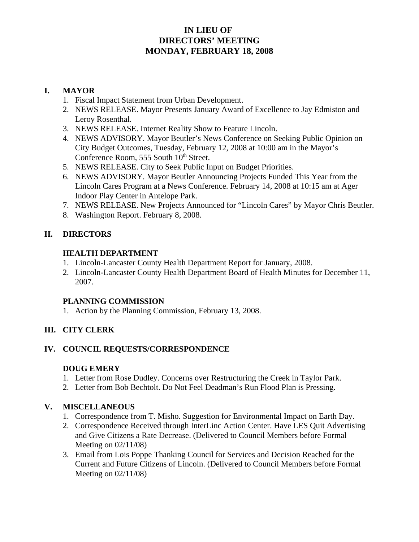# **IN LIEU OF DIRECTORS' MEETING MONDAY, FEBRUARY 18, 2008**

## **I. MAYOR**

- 1. Fiscal Impact Statement from Urban Development.
- 2. NEWS RELEASE. Mayor Presents January Award of Excellence to Jay Edmiston and Leroy Rosenthal.
- 3. NEWS RELEASE. Internet Reality Show to Feature Lincoln.
- 4. NEWS ADVISORY. Mayor Beutler's News Conference on Seeking Public Opinion on City Budget Outcomes, Tuesday, February 12, 2008 at 10:00 am in the Mayor's Conference Room, 555 South  $10<sup>th</sup>$  Street.
- 5. NEWS RELEASE. City to Seek Public Input on Budget Priorities.
- 6. NEWS ADVISORY. Mayor Beutler Announcing Projects Funded This Year from the Lincoln Cares Program at a News Conference. February 14, 2008 at 10:15 am at Ager Indoor Play Center in Antelope Park.
- 7. NEWS RELEASE. New Projects Announced for "Lincoln Cares" by Mayor Chris Beutler.
- 8. Washington Report. February 8, 2008.

## **II. DIRECTORS**

#### **HEALTH DEPARTMENT**

- 1. Lincoln-Lancaster County Health Department Report for January, 2008.
- 2. Lincoln-Lancaster County Health Department Board of Health Minutes for December 11, 2007.

## **PLANNING COMMISSION**

1. Action by the Planning Commission, February 13, 2008.

## **III. CITY CLERK**

## **IV. COUNCIL REQUESTS/CORRESPONDENCE**

#### **DOUG EMERY**

- 1. Letter from Rose Dudley. Concerns over Restructuring the Creek in Taylor Park.
- 2. Letter from Bob Bechtolt. Do Not Feel Deadman's Run Flood Plan is Pressing.

## **V. MISCELLANEOUS**

- 1. Correspondence from T. Misho. Suggestion for Environmental Impact on Earth Day.
- 2. Correspondence Received through InterLinc Action Center. Have LES Quit Advertising and Give Citizens a Rate Decrease. (Delivered to Council Members before Formal Meeting on 02/11/08)
- 3. Email from Lois Poppe Thanking Council for Services and Decision Reached for the Current and Future Citizens of Lincoln. (Delivered to Council Members before Formal Meeting on 02/11/08)